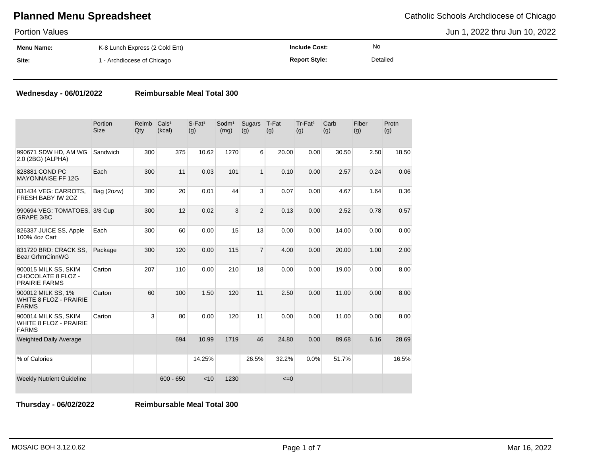Portion Values

Jun 1, 2022 thru Jun 10, 2022

| .                 |                                |                      |          |  |
|-------------------|--------------------------------|----------------------|----------|--|
| <b>Menu Name:</b> | K-8 Lunch Express (2 Cold Ent) | <b>Include Cost:</b> | No       |  |
| Site:             | 1 - Archdiocese of Chicago     | <b>Report Style:</b> | Detailed |  |

### **Wednesday - 06/01/2022 Reimbursable Meal Total 300**

|                                                                     | Portion<br><b>Size</b> | Reimb<br>Qty | Cals <sup>1</sup><br>(kcal) | $S-Fat1$<br>(g) | Sodm <sup>1</sup><br>(mg) | Sugars<br>(g)  | T-Fat<br>(g) | Tr-Fat <sup>2</sup><br>(g) | Carb<br>(g) | Fiber<br>(g) | Protn<br>(g) |
|---------------------------------------------------------------------|------------------------|--------------|-----------------------------|-----------------|---------------------------|----------------|--------------|----------------------------|-------------|--------------|--------------|
| 990671 SDW HD, AM WG<br>2.0 (2BG) (ALPHA)                           | Sandwich               | 300          | 375                         | 10.62           | 1270                      | 6              | 20.00        | 0.00                       | 30.50       | 2.50         | 18.50        |
| 828881 COND PC<br><b>MAYONNAISE FF 12G</b>                          | Each                   | 300          | 11                          | 0.03            | 101                       | $\mathbf{1}$   | 0.10         | 0.00                       | 2.57        | 0.24         | 0.06         |
| 831434 VEG: CARROTS,<br>FRESH BABY IW 20Z                           | Bag (2ozw)             | 300          | 20                          | 0.01            | 44                        | 3              | 0.07         | 0.00                       | 4.67        | 1.64         | 0.36         |
| 990694 VEG: TOMATOES, 3/8 Cup<br>GRAPE 3/8C                         |                        | 300          | 12                          | 0.02            | 3                         | $\overline{2}$ | 0.13         | 0.00                       | 2.52        | 0.78         | 0.57         |
| 826337 JUICE SS, Apple<br>100% 4oz Cart                             | Each                   | 300          | 60                          | 0.00            | 15                        | 13             | 0.00         | 0.00                       | 14.00       | 0.00         | 0.00         |
| 831720 BRD: CRACK SS,<br><b>Bear GrhmCinnWG</b>                     | Package                | 300          | 120                         | 0.00            | 115                       | $\overline{7}$ | 4.00         | 0.00                       | 20.00       | 1.00         | 2.00         |
| 900015 MILK SS, SKIM<br>CHOCOLATE 8 FLOZ -<br><b>PRAIRIE FARMS</b>  | Carton                 | 207          | 110                         | 0.00            | 210                       | 18             | 0.00         | 0.00                       | 19.00       | 0.00         | 8.00         |
| 900012 MILK SS, 1%<br><b>WHITE 8 FLOZ - PRAIRIE</b><br><b>FARMS</b> | Carton                 | 60           | 100                         | 1.50            | 120                       | 11             | 2.50         | 0.00                       | 11.00       | 0.00         | 8.00         |
| 900014 MILK SS, SKIM<br>WHITE 8 FLOZ - PRAIRIE<br><b>FARMS</b>      | Carton                 | 3            | 80                          | 0.00            | 120                       | 11             | 0.00         | 0.00                       | 11.00       | 0.00         | 8.00         |
| <b>Weighted Daily Average</b>                                       |                        |              | 694                         | 10.99           | 1719                      | 46             | 24.80        | 0.00                       | 89.68       | 6.16         | 28.69        |
| % of Calories                                                       |                        |              |                             | 14.25%          |                           | 26.5%          | 32.2%        | 0.0%                       | 51.7%       |              | 16.5%        |
| <b>Weekly Nutrient Guideline</b>                                    |                        |              | $600 - 650$                 | < 10            | 1230                      |                | $\leq=0$     |                            |             |              |              |

**Thursday - 06/02/2022 Reimbursable Meal Total 300**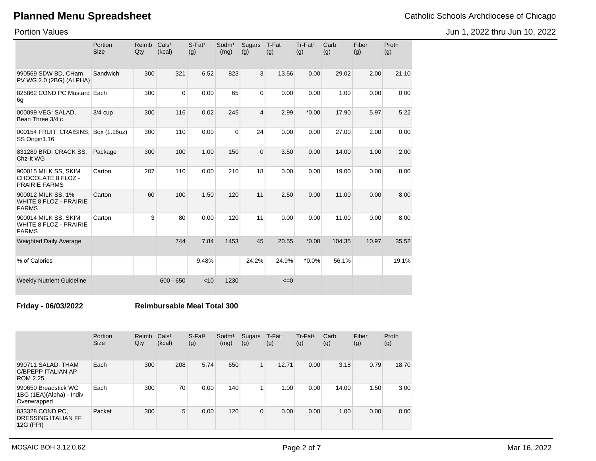Jun 1, 2022 thru Jun 10, 2022

Portion Values

|                                                                       | Portion<br><b>Size</b> | Reimb<br>Qty | Cals <sup>1</sup><br>(kcal) | $S$ -Fat <sup>1</sup><br>(g) | Sodm <sup>1</sup><br>(mg) | Sugars<br>(g)  | T-Fat<br>(g) | Tr-Fat <sup>2</sup><br>(g) | Carb<br>(g) | Fiber<br>(g) | Protn<br>(g) |
|-----------------------------------------------------------------------|------------------------|--------------|-----------------------------|------------------------------|---------------------------|----------------|--------------|----------------------------|-------------|--------------|--------------|
| 990569 SDW BD, CHam<br>PV WG 2.0 (2BG) (ALPHA)                        | Sandwich               | 300          | 321                         | 6.52                         | 823                       | 3              | 13.56        | 0.00                       | 29.02       | 2.00         | 21.10        |
| 825862 COND PC Mustard Each<br>6g                                     |                        | 300          | $\Omega$                    | 0.00                         | 65                        | $\Omega$       | 0.00         | 0.00                       | 1.00        | 0.00         | 0.00         |
| 000099 VEG: SALAD,<br>Bean Three 3/4 c                                | $3/4$ cup              | 300          | 116                         | 0.02                         | 245                       | $\overline{4}$ | 2.99         | $*0.00$                    | 17.90       | 5.97         | 5.22         |
| 000154 FRUIT: CRAISINS,<br>SS Origin1.16                              | Box (1.16oz)           | 300          | 110                         | 0.00                         | $\mathbf 0$               | 24             | 0.00         | 0.00                       | 27.00       | 2.00         | 0.00         |
| 831289 BRD: CRACK SS,<br>Chz-It WG                                    | Package                | 300          | 100                         | 1.00                         | 150                       | $\Omega$       | 3.50         | 0.00                       | 14.00       | 1.00         | 2.00         |
| 900015 MILK SS, SKIM<br>CHOCOLATE 8 FLOZ -<br><b>PRAIRIE FARMS</b>    | Carton                 | 207          | 110                         | 0.00                         | 210                       | 18             | 0.00         | 0.00                       | 19.00       | 0.00         | 8.00         |
| 900012 MILK SS, 1%<br><b>WHITE 8 FLOZ - PRAIRIE</b><br><b>FARMS</b>   | Carton                 | 60           | 100                         | 1.50                         | 120                       | 11             | 2.50         | 0.00                       | 11.00       | 0.00         | 8.00         |
| 900014 MILK SS, SKIM<br><b>WHITE 8 FLOZ - PRAIRIE</b><br><b>FARMS</b> | Carton                 | 3            | 80                          | 0.00                         | 120                       | 11             | 0.00         | 0.00                       | 11.00       | 0.00         | 8.00         |
| <b>Weighted Daily Average</b>                                         |                        |              | 744                         | 7.84                         | 1453                      | 45             | 20.55        | $*0.00$                    | 104.35      | 10.97        | 35.52        |
| % of Calories                                                         |                        |              |                             | 9.48%                        |                           | 24.2%          | 24.9%        | $*0.0\%$                   | 56.1%       |              | 19.1%        |
| <b>Weekly Nutrient Guideline</b>                                      |                        |              | $600 - 650$                 | < 10                         | 1230                      |                | $\leq=0$     |                            |             |              |              |

**Friday - 06/03/2022 Reimbursable Meal Total 300**

|                                                                 | Portion<br><b>Size</b> | Reimb<br>Qty | Cals <sup>1</sup><br>(kcal) | $S$ -Fat <sup>1</sup><br>(g) | Sodm <sup>1</sup><br>(mg) | Sugars<br>(g) | T-Fat<br>(g) | Tr-Fat <sup>2</sup><br>(g) | Carb<br>(g) | Fiber<br>(g) | Protn<br>(g) |
|-----------------------------------------------------------------|------------------------|--------------|-----------------------------|------------------------------|---------------------------|---------------|--------------|----------------------------|-------------|--------------|--------------|
| 990711 SALAD, THAM<br>C/BPEPP ITALIAN AP<br>ROM 2.25            | Each                   | 300          | 208                         | 5.74                         | 650                       | 1             | 12.71        | 0.00                       | 3.18        | 0.79         | 18.70        |
| 990650 Breadstick WG<br>1BG (1EA)(Alpha) - Indiv<br>Overwrapped | Each                   | 300          | 70                          | 0.00                         | 140                       | 1             | 1.00         | 0.00                       | 14.00       | 1.50         | 3.00         |
| 833328 COND PC.<br>DRESSING ITALIAN FF<br>12G (PPI)             | Packet                 | 300          | 5                           | 0.00                         | 120                       | $\mathbf 0$   | 0.00         | 0.00                       | 1.00        | 0.00         | 0.00         |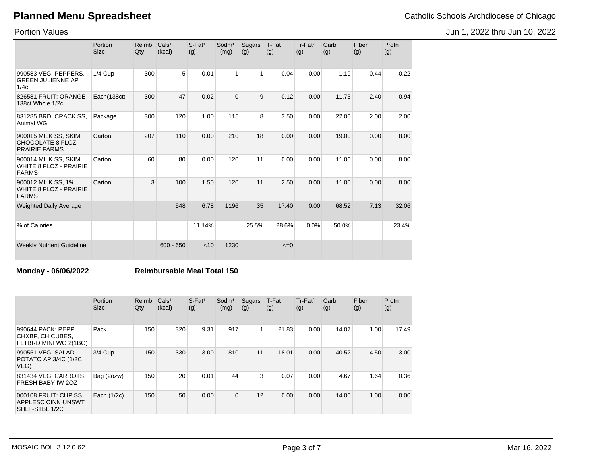Jun 1, 2022 thru Jun 10, 2022

Portion Values

|                                                                       | Portion<br>Size | Reimb<br>Qty | Cals <sup>1</sup><br>(kcal) | $S$ -Fat <sup>1</sup><br>(g) | Sodm <sup>1</sup><br>(mg) | Sugars<br>(g) | T-Fat<br>(g) | Tr-Fat <sup>2</sup><br>(g) | Carb<br>(g) | Fiber<br>(g) | Protn<br>(g) |
|-----------------------------------------------------------------------|-----------------|--------------|-----------------------------|------------------------------|---------------------------|---------------|--------------|----------------------------|-------------|--------------|--------------|
| 990583 VEG: PEPPERS.<br><b>GREEN JULIENNE AP</b><br>1/4c              | $1/4$ Cup       | 300          | 5                           | 0.01                         | 1                         | 1             | 0.04         | 0.00                       | 1.19        | 0.44         | 0.22         |
| 826581 FRUIT: ORANGE<br>138ct Whole 1/2c                              | Each(138ct)     | 300          | 47                          | 0.02                         | $\Omega$                  | 9             | 0.12         | 0.00                       | 11.73       | 2.40         | 0.94         |
| 831285 BRD: CRACK SS,<br>Animal WG                                    | Package         | 300          | 120                         | 1.00                         | 115                       | 8             | 3.50         | 0.00                       | 22.00       | 2.00         | 2.00         |
| 900015 MILK SS, SKIM<br>CHOCOLATE 8 FLOZ -<br><b>PRAIRIE FARMS</b>    | Carton          | 207          | 110                         | 0.00                         | 210                       | 18            | 0.00         | 0.00                       | 19.00       | 0.00         | 8.00         |
| 900014 MILK SS, SKIM<br><b>WHITE 8 FLOZ - PRAIRIE</b><br><b>FARMS</b> | Carton          | 60           | 80                          | 0.00                         | 120                       | 11            | 0.00         | 0.00                       | 11.00       | 0.00         | 8.00         |
| 900012 MILK SS, 1%<br><b>WHITE 8 FLOZ - PRAIRIE</b><br><b>FARMS</b>   | Carton          | 3            | 100                         | 1.50                         | 120                       | 11            | 2.50         | 0.00                       | 11.00       | 0.00         | 8.00         |
| <b>Weighted Daily Average</b>                                         |                 |              | 548                         | 6.78                         | 1196                      | 35            | 17.40        | 0.00                       | 68.52       | 7.13         | 32.06        |
| % of Calories                                                         |                 |              |                             | 11.14%                       |                           | 25.5%         | 28.6%        | 0.0%                       | 50.0%       |              | 23.4%        |
| <b>Weekly Nutrient Guideline</b>                                      |                 |              | $600 - 650$                 | < 10                         | 1230                      |               | $\leq=0$     |                            |             |              |              |

### **Monday - 06/06/2022 Reimbursable Meal Total 150**

|                                                                | Portion<br><b>Size</b> | Reimb<br>Qty | Cals <sup>1</sup><br>(kcal) | $S$ -Fat <sup>1</sup><br>(g) | Sodm <sup>1</sup><br>(mg) | <b>Sugars</b><br>(g) | T-Fat<br>(g) | Tr-Fat <sup>2</sup><br>(g) | Carb<br>(g) | Fiber<br>(g) | Protn<br>(g) |
|----------------------------------------------------------------|------------------------|--------------|-----------------------------|------------------------------|---------------------------|----------------------|--------------|----------------------------|-------------|--------------|--------------|
| 990644 PACK: PEPP<br>CHXBF, CH CUBES,<br>FLTBRD MINI WG 2(1BG) | Pack                   | 150          | 320                         | 9.31                         | 917                       | 1                    | 21.83        | 0.00                       | 14.07       | 1.00         | 17.49        |
| 990551 VEG: SALAD,<br>POTATO AP 3/4C (1/2C<br>VEG)             | 3/4 Cup                | 150          | 330                         | 3.00                         | 810                       | 11                   | 18.01        | 0.00                       | 40.52       | 4.50         | 3.00         |
| 831434 VEG: CARROTS.<br>FRESH BABY IW 20Z                      | Bag (2ozw)             | 150          | 20                          | 0.01                         | 44                        | 3                    | 0.07         | 0.00                       | 4.67        | 1.64         | 0.36         |
| 000108 FRUIT: CUP SS.<br>APPLESC CINN UNSWT<br>SHLF-STBL 1/2C  | Each $(1/2c)$          | 150          | 50                          | 0.00                         | $\Omega$                  | 12                   | 0.00         | 0.00                       | 14.00       | 1.00         | 0.00         |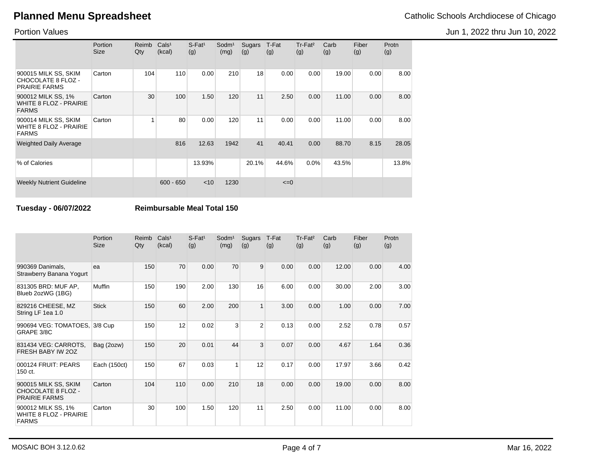Jun 1, 2022 thru Jun 10, 2022

Portion Values

|                                                                       | Portion<br><b>Size</b> | Reimb<br>Qty | Cals <sup>1</sup><br>(kcal) | $S$ -Fat <sup>1</sup><br>(g) | Sodm <sup>1</sup><br>(mg) | Sugars<br>(g) | T-Fat<br>(g) | $Tr-Fat2$<br>(g) | Carb<br>(g) | Fiber<br>(g) | Protn<br>(g) |
|-----------------------------------------------------------------------|------------------------|--------------|-----------------------------|------------------------------|---------------------------|---------------|--------------|------------------|-------------|--------------|--------------|
| 900015 MILK SS, SKIM<br>CHOCOLATE 8 FLOZ -<br><b>PRAIRIE FARMS</b>    | Carton                 | 104          | 110                         | 0.00                         | 210                       | 18            | 0.00         | 0.00             | 19.00       | 0.00         | 8.00         |
| 900012 MILK SS, 1%<br><b>WHITE 8 FLOZ - PRAIRIE</b><br><b>FARMS</b>   | Carton                 | 30           | 100                         | 1.50                         | 120                       | 11            | 2.50         | 0.00             | 11.00       | 0.00         | 8.00         |
| 900014 MILK SS, SKIM<br><b>WHITE 8 FLOZ - PRAIRIE</b><br><b>FARMS</b> | Carton                 |              | 80                          | 0.00                         | 120                       | 11            | 0.00         | 0.00             | 11.00       | 0.00         | 8.00         |
| <b>Weighted Daily Average</b>                                         |                        |              | 816                         | 12.63                        | 1942                      | 41            | 40.41        | 0.00             | 88.70       | 8.15         | 28.05        |
| % of Calories                                                         |                        |              |                             | 13.93%                       |                           | 20.1%         | 44.6%        | 0.0%             | 43.5%       |              | 13.8%        |
| <b>Weekly Nutrient Guideline</b>                                      |                        |              | $600 - 650$                 | $<$ 10                       | 1230                      |               | $\leq=0$     |                  |             |              |              |

**Tuesday - 06/07/2022 Reimbursable Meal Total 150**

|                                                                     | Portion<br><b>Size</b> | Reimb<br>Qty | Cals <sup>1</sup><br>(kcal) | $S$ -Fat <sup>1</sup><br>(g) | Sodm <sup>1</sup><br>(mg) | <b>Sugars</b><br>(g) | T-Fat<br>(g) | Tr-Fat <sup>2</sup><br>(g) | Carb<br>(g) | Fiber<br>(g) | Protn<br>(g) |
|---------------------------------------------------------------------|------------------------|--------------|-----------------------------|------------------------------|---------------------------|----------------------|--------------|----------------------------|-------------|--------------|--------------|
| 990369 Danimals,<br>Strawberry Banana Yogurt                        | ea                     | 150          | 70                          | 0.00                         | 70                        | 9                    | 0.00         | 0.00                       | 12.00       | 0.00         | 4.00         |
| 831305 BRD: MUF AP,<br>Blueb 2ozWG (1BG)                            | <b>Muffin</b>          | 150          | 190                         | 2.00                         | 130                       | 16                   | 6.00         | 0.00                       | 30.00       | 2.00         | 3.00         |
| 829216 CHEESE, MZ<br>String LF 1ea 1.0                              | <b>Stick</b>           | 150          | 60                          | 2.00                         | 200                       | $\mathbf{1}$         | 3.00         | 0.00                       | 1.00        | 0.00         | 7.00         |
| 990694 VEG: TOMATOES,<br>GRAPE 3/8C                                 | 3/8 Cup                | 150          | 12                          | 0.02                         | 3                         | 2                    | 0.13         | 0.00                       | 2.52        | 0.78         | 0.57         |
| 831434 VEG: CARROTS,<br>FRESH BABY IW 20Z                           | Bag (2ozw)             | 150          | 20                          | 0.01                         | 44                        | 3                    | 0.07         | 0.00                       | 4.67        | 1.64         | 0.36         |
| 000124 FRUIT: PEARS<br>150 ct.                                      | Each (150ct)           | 150          | 67                          | 0.03                         | 1                         | 12                   | 0.17         | 0.00                       | 17.97       | 3.66         | 0.42         |
| 900015 MILK SS, SKIM<br>CHOCOLATE 8 FLOZ -<br><b>PRAIRIE FARMS</b>  | Carton                 | 104          | 110                         | 0.00                         | 210                       | 18                   | 0.00         | 0.00                       | 19.00       | 0.00         | 8.00         |
| 900012 MILK SS, 1%<br><b>WHITE 8 FLOZ - PRAIRIE</b><br><b>FARMS</b> | Carton                 | 30           | 100                         | 1.50                         | 120                       | 11                   | 2.50         | 0.00                       | 11.00       | 0.00         | 8.00         |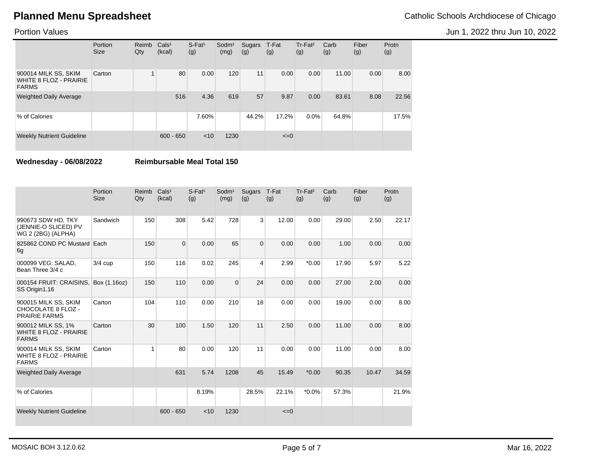Jun 1, 2022 thru Jun 10, 2022

Portion Values

|                                                                       | Portion<br><b>Size</b> | Reimb<br>Qty | Cals <sup>1</sup><br>(kcal) | $S$ -Fat <sup>1</sup><br>(g) | $S$ odm $1$<br>(mg) | Sugars<br>(g) | T-Fat<br>(g) | Tr-Fat <sup>2</sup><br>(g) | Carb<br>(g) | Fiber<br>(g) | Protn<br>(g) |
|-----------------------------------------------------------------------|------------------------|--------------|-----------------------------|------------------------------|---------------------|---------------|--------------|----------------------------|-------------|--------------|--------------|
| 900014 MILK SS, SKIM<br><b>WHITE 8 FLOZ - PRAIRIE</b><br><b>FARMS</b> | Carton                 |              | 80                          | 0.00                         | 120                 | 11            | 0.00         | 0.00                       | 11.00       | 0.00         | 8.00         |
| <b>Weighted Daily Average</b>                                         |                        |              | 516                         | 4.36                         | 619                 | 57            | 9.87         | 0.00                       | 83.61       | 8.08         | 22.56        |
| % of Calories                                                         |                        |              |                             | 7.60%                        |                     | 44.2%         | 17.2%        | $0.0\%$                    | 64.8%       |              | 17.5%        |
| <b>Weekly Nutrient Guideline</b>                                      |                        |              | $600 - 650$                 | < 10                         | 1230                |               | $\leq=0$     |                            |             |              |              |

**Wednesday - 06/08/2022 Reimbursable Meal Total 150**

|                                                                       | Portion<br><b>Size</b> | Reimb<br>Qty | Cals <sup>1</sup><br>(kcal) | $S$ -Fat <sup>1</sup><br>(g) | Sodm <sup>1</sup><br>(mg) | <b>Sugars</b><br>(g) | T-Fat<br>(g) | Tr-Fat <sup>2</sup><br>(g) | Carb<br>(g) | Fiber<br>(g) | Protn<br>(g) |
|-----------------------------------------------------------------------|------------------------|--------------|-----------------------------|------------------------------|---------------------------|----------------------|--------------|----------------------------|-------------|--------------|--------------|
| 990673 SDW HD, TKY<br>(JENNIE-O SLICED) PV<br>WG 2 (2BG) (ALPHA)      | Sandwich               | 150          | 308                         | 5.42                         | 728                       | 3                    | 12.00        | 0.00                       | 29.00       | 2.50         | 22.17        |
| 825862 COND PC Mustard Each<br>6g                                     |                        | 150          | $\overline{0}$              | 0.00                         | 65                        | $\overline{0}$       | 0.00         | 0.00                       | 1.00        | 0.00         | 0.00         |
| 000099 VEG: SALAD,<br>Bean Three 3/4 c                                | $3/4$ cup              | 150          | 116                         | 0.02                         | 245                       | 4                    | 2.99         | $*0.00$                    | 17.90       | 5.97         | 5.22         |
| 000154 FRUIT: CRAISINS.<br>SS Origin1.16                              | Box (1.16oz)           | 150          | 110                         | 0.00                         | $\Omega$                  | 24                   | 0.00         | 0.00                       | 27.00       | 2.00         | 0.00         |
| 900015 MILK SS, SKIM<br>CHOCOLATE 8 FLOZ -<br><b>PRAIRIE FARMS</b>    | Carton                 | 104          | 110                         | 0.00                         | 210                       | 18                   | 0.00         | 0.00                       | 19.00       | 0.00         | 8.00         |
| 900012 MILK SS, 1%<br><b>WHITE 8 FLOZ - PRAIRIE</b><br><b>FARMS</b>   | Carton                 | 30           | 100                         | 1.50                         | 120                       | 11                   | 2.50         | 0.00                       | 11.00       | 0.00         | 8.00         |
| 900014 MILK SS, SKIM<br><b>WHITE 8 FLOZ - PRAIRIE</b><br><b>FARMS</b> | Carton                 | 1            | 80                          | 0.00                         | 120                       | 11                   | 0.00         | 0.00                       | 11.00       | 0.00         | 8.00         |
| <b>Weighted Daily Average</b>                                         |                        |              | 631                         | 5.74                         | 1208                      | 45                   | 15.49        | $*0.00$                    | 90.35       | 10.47        | 34.59        |
| % of Calories                                                         |                        |              |                             | 8.19%                        |                           | 28.5%                | 22.1%        | $*0.0\%$                   | 57.3%       |              | 21.9%        |
| <b>Weekly Nutrient Guideline</b>                                      |                        |              | $600 - 650$                 | < 10                         | 1230                      |                      | $\leq=0$     |                            |             |              |              |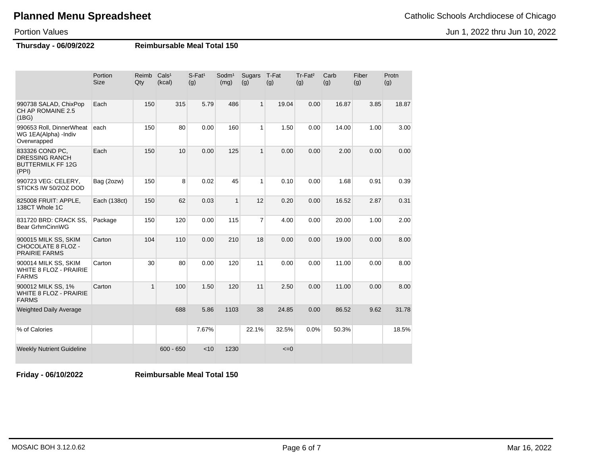Jun 1, 2022 thru Jun 10, 2022

Portion Values

**Thursday - 06/09/2022 Reimbursable Meal Total 150**

|                                                                               | Portion<br><b>Size</b> | Reimb<br>Qty | Cals <sup>1</sup><br>(kcal) | $S$ -Fat <sup>1</sup><br>(g) | Sodm <sup>1</sup><br>(mg) | Sugars<br>(g)  | T-Fat<br>(g) | Tr-Fat <sup>2</sup><br>(g) | Carb<br>(g) | Fiber<br>(g) | Protn<br>(g) |
|-------------------------------------------------------------------------------|------------------------|--------------|-----------------------------|------------------------------|---------------------------|----------------|--------------|----------------------------|-------------|--------------|--------------|
| 990738 SALAD, ChixPop<br>CH AP ROMAINE 2.5<br>(1BG)                           | Each                   | 150          | 315                         | 5.79                         | 486                       | $\mathbf{1}$   | 19.04        | 0.00                       | 16.87       | 3.85         | 18.87        |
| 990653 Roll, DinnerWheat<br>WG 1EA(Alpha) -Indiv<br>Overwrapped               | each                   | 150          | 80                          | 0.00                         | 160                       | $\mathbf{1}$   | 1.50         | 0.00                       | 14.00       | 1.00         | 3.00         |
| 833326 COND PC,<br><b>DRESSING RANCH</b><br><b>BUTTERMILK FF 12G</b><br>(PPI) | Each                   | 150          | 10                          | 0.00                         | 125                       | $\mathbf{1}$   | 0.00         | 0.00                       | 2.00        | 0.00         | 0.00         |
| 990723 VEG: CELERY,<br>STICKS IW 50/2OZ DOD                                   | Bag (2ozw)             | 150          | 8                           | 0.02                         | 45                        | $\mathbf{1}$   | 0.10         | 0.00                       | 1.68        | 0.91         | 0.39         |
| 825008 FRUIT: APPLE,<br>138CT Whole 1C                                        | Each (138ct)           | 150          | 62                          | 0.03                         | $\mathbf{1}$              | 12             | 0.20         | 0.00                       | 16.52       | 2.87         | 0.31         |
| 831720 BRD: CRACK SS,<br><b>Bear GrhmCinnWG</b>                               | Package                | 150          | 120                         | 0.00                         | 115                       | $\overline{7}$ | 4.00         | 0.00                       | 20.00       | 1.00         | 2.00         |
| 900015 MILK SS, SKIM<br>CHOCOLATE 8 FLOZ -<br><b>PRAIRIE FARMS</b>            | Carton                 | 104          | 110                         | 0.00                         | 210                       | 18             | 0.00         | 0.00                       | 19.00       | 0.00         | 8.00         |
| 900014 MILK SS, SKIM<br><b>WHITE 8 FLOZ - PRAIRIE</b><br><b>FARMS</b>         | Carton                 | 30           | 80                          | 0.00                         | 120                       | 11             | 0.00         | 0.00                       | 11.00       | 0.00         | 8.00         |
| 900012 MILK SS, 1%<br><b>WHITE 8 FLOZ - PRAIRIE</b><br><b>FARMS</b>           | Carton                 | $\mathbf{1}$ | 100                         | 1.50                         | 120                       | 11             | 2.50         | 0.00                       | 11.00       | 0.00         | 8.00         |
| <b>Weighted Daily Average</b>                                                 |                        |              | 688                         | 5.86                         | 1103                      | 38             | 24.85        | 0.00                       | 86.52       | 9.62         | 31.78        |
| % of Calories                                                                 |                        |              |                             | 7.67%                        |                           | 22.1%          | 32.5%        | 0.0%                       | 50.3%       |              | 18.5%        |
| <b>Weekly Nutrient Guideline</b>                                              |                        |              | $600 - 650$                 | < 10                         | 1230                      |                | $\leq=0$     |                            |             |              |              |

**Friday - 06/10/2022 Reimbursable Meal Total 150**